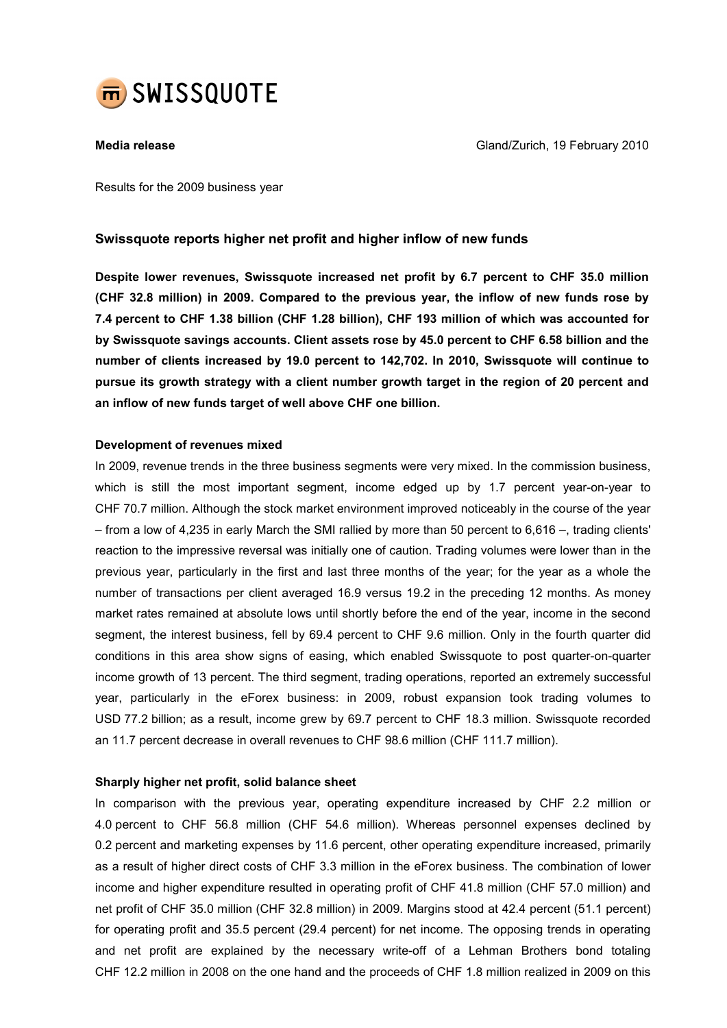

Media release Gland/Zurich, 19 February 2010

Results for the 2009 business year

# Swissquote reports higher net profit and higher inflow of new funds

Despite lower revenues, Swissquote increased net profit by 6.7 percent to CHF 35.0 million (CHF 32.8 million) in 2009. Compared to the previous year, the inflow of new funds rose by 7.4 percent to CHF 1.38 billion (CHF 1.28 billion), CHF 193 million of which was accounted for by Swissquote savings accounts. Client assets rose by 45.0 percent to CHF 6.58 billion and the number of clients increased by 19.0 percent to 142,702. In 2010, Swissquote will continue to pursue its growth strategy with a client number growth target in the region of 20 percent and an inflow of new funds target of well above CHF one billion.

# Development of revenues mixed

In 2009, revenue trends in the three business segments were very mixed. In the commission business, which is still the most important segment, income edged up by 1.7 percent year-on-year to CHF 70.7 million. Although the stock market environment improved noticeably in the course of the year – from a low of 4,235 in early March the SMI rallied by more than 50 percent to 6,616 –, trading clients' reaction to the impressive reversal was initially one of caution. Trading volumes were lower than in the previous year, particularly in the first and last three months of the year; for the year as a whole the number of transactions per client averaged 16.9 versus 19.2 in the preceding 12 months. As money market rates remained at absolute lows until shortly before the end of the year, income in the second segment, the interest business, fell by 69.4 percent to CHF 9.6 million. Only in the fourth quarter did conditions in this area show signs of easing, which enabled Swissquote to post quarter-on-quarter income growth of 13 percent. The third segment, trading operations, reported an extremely successful year, particularly in the eForex business: in 2009, robust expansion took trading volumes to USD 77.2 billion; as a result, income grew by 69.7 percent to CHF 18.3 million. Swissquote recorded an 11.7 percent decrease in overall revenues to CHF 98.6 million (CHF 111.7 million).

# Sharply higher net profit, solid balance sheet

In comparison with the previous year, operating expenditure increased by CHF 2.2 million or 4.0 percent to CHF 56.8 million (CHF 54.6 million). Whereas personnel expenses declined by 0.2 percent and marketing expenses by 11.6 percent, other operating expenditure increased, primarily as a result of higher direct costs of CHF 3.3 million in the eForex business. The combination of lower income and higher expenditure resulted in operating profit of CHF 41.8 million (CHF 57.0 million) and net profit of CHF 35.0 million (CHF 32.8 million) in 2009. Margins stood at 42.4 percent (51.1 percent) for operating profit and 35.5 percent (29.4 percent) for net income. The opposing trends in operating and net profit are explained by the necessary write-off of a Lehman Brothers bond totaling CHF 12.2 million in 2008 on the one hand and the proceeds of CHF 1.8 million realized in 2009 on this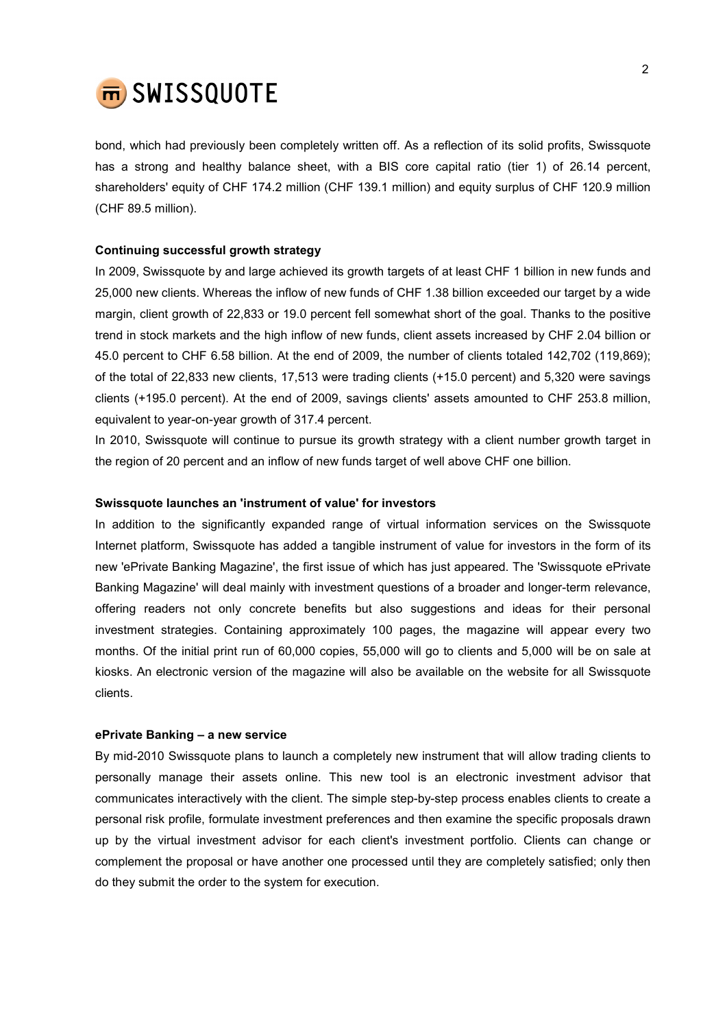

bond, which had previously been completely written off. As a reflection of its solid profits, Swissquote has a strong and healthy balance sheet, with a BIS core capital ratio (tier 1) of 26.14 percent, shareholders' equity of CHF 174.2 million (CHF 139.1 million) and equity surplus of CHF 120.9 million (CHF 89.5 million).

# Continuing successful growth strategy

In 2009, Swissquote by and large achieved its growth targets of at least CHF 1 billion in new funds and 25,000 new clients. Whereas the inflow of new funds of CHF 1.38 billion exceeded our target by a wide margin, client growth of 22,833 or 19.0 percent fell somewhat short of the goal. Thanks to the positive trend in stock markets and the high inflow of new funds, client assets increased by CHF 2.04 billion or 45.0 percent to CHF 6.58 billion. At the end of 2009, the number of clients totaled 142,702 (119,869); of the total of 22,833 new clients, 17,513 were trading clients (+15.0 percent) and 5,320 were savings clients (+195.0 percent). At the end of 2009, savings clients' assets amounted to CHF 253.8 million, equivalent to year-on-year growth of 317.4 percent.

In 2010, Swissquote will continue to pursue its growth strategy with a client number growth target in the region of 20 percent and an inflow of new funds target of well above CHF one billion.

# Swissquote launches an 'instrument of value' for investors

In addition to the significantly expanded range of virtual information services on the Swissquote Internet platform, Swissquote has added a tangible instrument of value for investors in the form of its new 'ePrivate Banking Magazine', the first issue of which has just appeared. The 'Swissquote ePrivate Banking Magazine' will deal mainly with investment questions of a broader and longer-term relevance, offering readers not only concrete benefits but also suggestions and ideas for their personal investment strategies. Containing approximately 100 pages, the magazine will appear every two months. Of the initial print run of 60,000 copies, 55,000 will go to clients and 5,000 will be on sale at kiosks. An electronic version of the magazine will also be available on the website for all Swissquote clients.

### ePrivate Banking – a new service

By mid-2010 Swissquote plans to launch a completely new instrument that will allow trading clients to personally manage their assets online. This new tool is an electronic investment advisor that communicates interactively with the client. The simple step-by-step process enables clients to create a personal risk profile, formulate investment preferences and then examine the specific proposals drawn up by the virtual investment advisor for each client's investment portfolio. Clients can change or complement the proposal or have another one processed until they are completely satisfied; only then do they submit the order to the system for execution.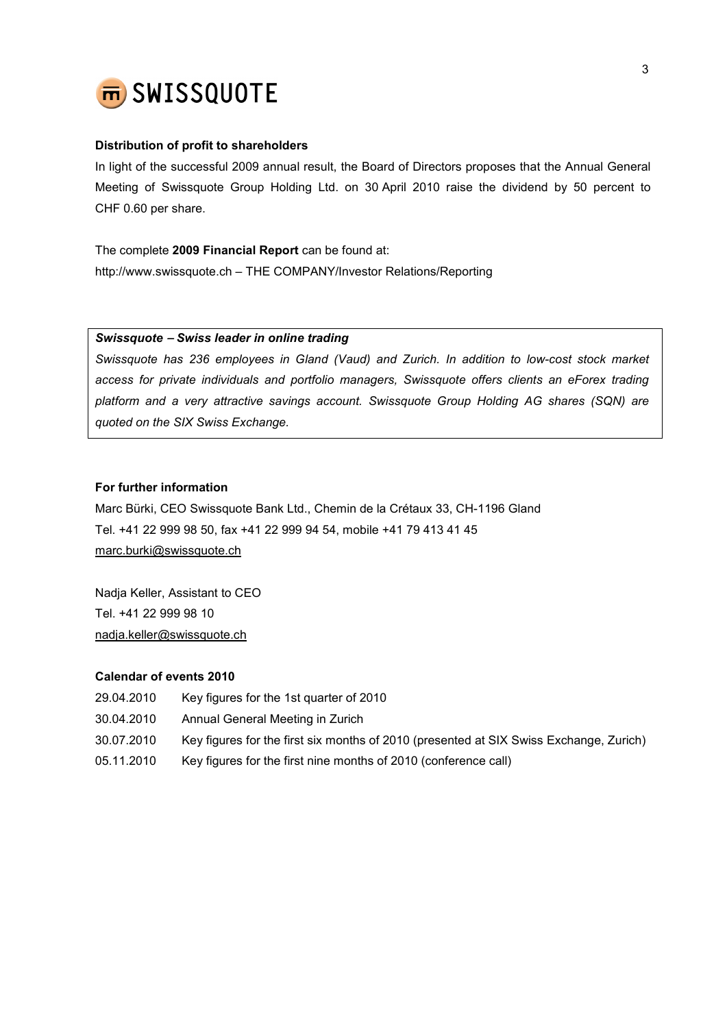

# Distribution of profit to shareholders

In light of the successful 2009 annual result, the Board of Directors proposes that the Annual General Meeting of Swissquote Group Holding Ltd. on 30 April 2010 raise the dividend by 50 percent to CHF 0.60 per share.

The complete 2009 Financial Report can be found at: http://www.swissquote.ch – THE COMPANY/Investor Relations/Reporting

# Swissquote − Swiss leader in online trading

Swissquote has 236 employees in Gland (Vaud) and Zurich. In addition to low-cost stock market access for private individuals and portfolio managers, Swissquote offers clients an eForex trading platform and a very attractive savings account. Swissquote Group Holding AG shares (SQN) are quoted on the SIX Swiss Exchange.

# For further information

Marc Bürki, CEO Swissquote Bank Ltd., Chemin de la Crétaux 33, CH-1196 Gland Tel. +41 22 999 98 50, fax +41 22 999 94 54, mobile +41 79 413 41 45 marc.burki@swissquote.ch

Nadja Keller, Assistant to CEO Tel. +41 22 999 98 10 nadja.keller@swissquote.ch

# Calendar of events 2010

- 29.04.2010 Key figures for the 1st quarter of 2010
- 30.04.2010 Annual General Meeting in Zurich
- 30.07.2010 Key figures for the first six months of 2010 (presented at SIX Swiss Exchange, Zurich)
- 05.11.2010 Key figures for the first nine months of 2010 (conference call)